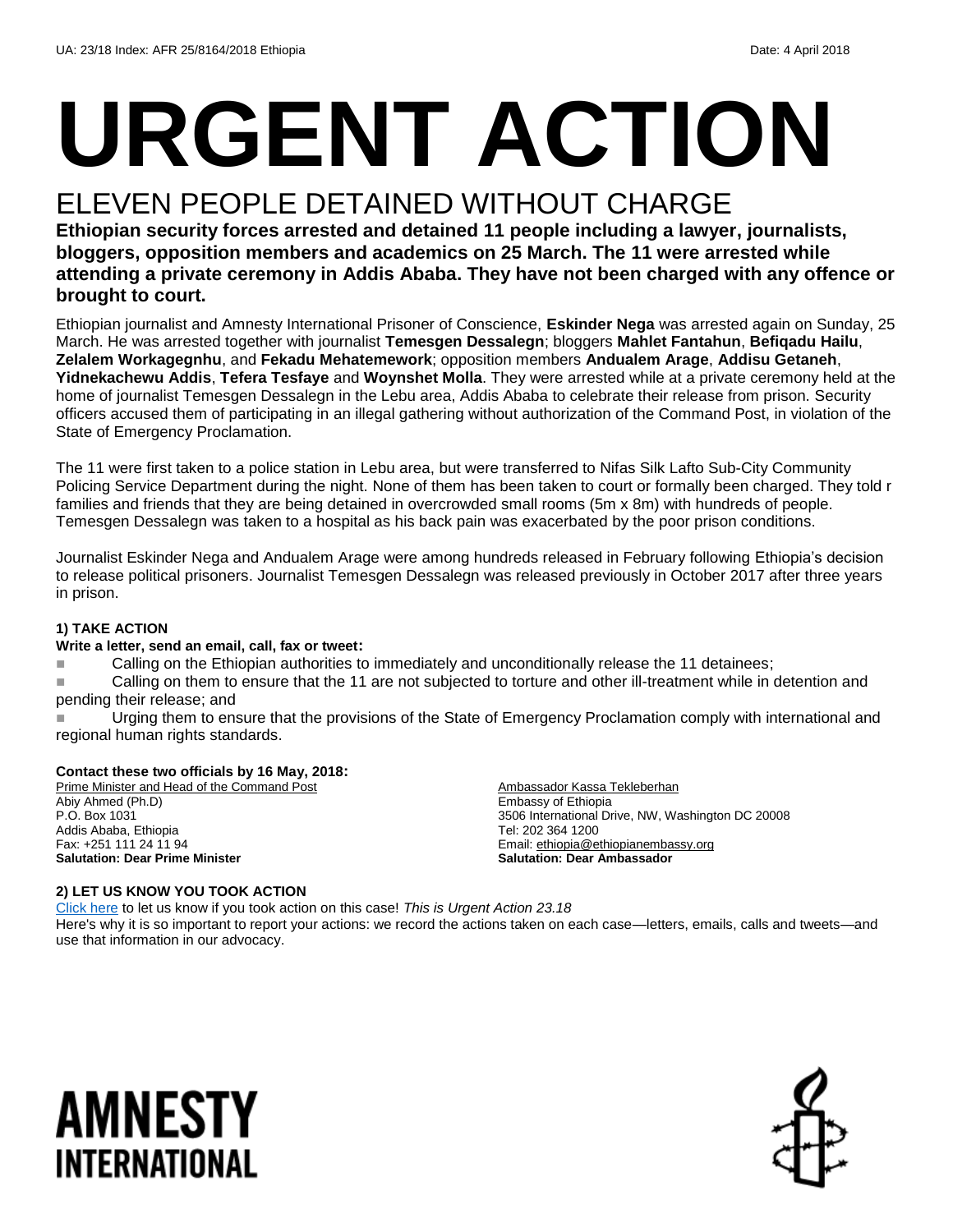# **URGENT ACTION**

#### ELEVEN PEOPLE DETAINED WITHOUT CHARGE

**Ethiopian security forces arrested and detained 11 people including a lawyer, journalists, bloggers, opposition members and academics on 25 March. The 11 were arrested while attending a private ceremony in Addis Ababa. They have not been charged with any offence or brought to court.** 

Ethiopian journalist and Amnesty International Prisoner of Conscience, **Eskinder Nega** was arrested again on Sunday, 25 March. He was arrested together with journalist **Temesgen Dessalegn**; bloggers **Mahlet Fantahun**, **Befiqadu Hailu**, **Zelalem Workagegnhu**, and **Fekadu Mehatemework**; opposition members **Andualem Arage**, **Addisu Getaneh**, **Yidnekachewu Addis**, **Tefera Tesfaye** and **Woynshet Molla**. They were arrested while at a private ceremony held at the home of journalist Temesgen Dessalegn in the Lebu area, Addis Ababa to celebrate their release from prison. Security officers accused them of participating in an illegal gathering without authorization of the Command Post, in violation of the State of Emergency Proclamation.

The 11 were first taken to a police station in Lebu area, but were transferred to Nifas Silk Lafto Sub-City Community Policing Service Department during the night. None of them has been taken to court or formally been charged. They told r families and friends that they are being detained in overcrowded small rooms (5m x 8m) with hundreds of people. Temesgen Dessalegn was taken to a hospital as his back pain was exacerbated by the poor prison conditions.

Journalist Eskinder Nega and Andualem Arage were among hundreds released in February following Ethiopia's decision to release political prisoners. Journalist Temesgen Dessalegn was released previously in October 2017 after three years in prison.

#### **1) TAKE ACTION**

#### **Write a letter, send an email, call, fax or tweet:**

**Example 2** Calling on the Ethiopian authorities to immediately and unconditionally release the 11 detainees;

**Example 2** Calling on them to ensure that the 11 are not subjected to torture and other ill-treatment while in detention and pending their release; and

 Urging them to ensure that the provisions of the State of Emergency Proclamation comply with international and regional human rights standards.

Ambassador Kassa Tekleberhan

Email[: ethiopia@ethiopianembassy.org](mailto:ethiopia@ethiopianembassy.org) **Salutation: Dear Ambassador**

3506 International Drive, NW, Washington DC 20008

Embassy of Ethiopia

Tel: 202 364 1200

#### **Contact these two officials by 16 May, 2018:**

Prime Minister and Head of the Command Post Abiy Ahmed (Ph.D) P.O. Box 1031 Addis Ababa, Ethiopia Fax: +251 111 24 11 94 **Salutation: Dear Prime Minister**

#### **2) LET US KNOW YOU TOOK ACTION**

[Click here](https://www.amnestyusa.org/report-urgent-actions/) to let us know if you took action on this case! *This is Urgent Action 23.18* Here's why it is so important to report your actions: we record the actions taken on each case—letters, emails, calls and tweets—and use that information in our advocacy.

### AMNESTY INTERNATIONAL